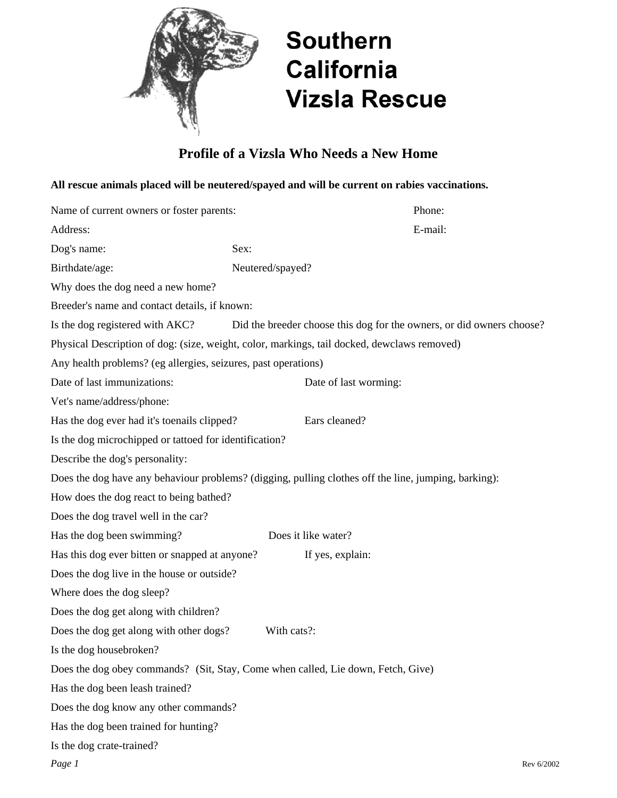

## **Southern California Vizsla Rescue**

## **Profile of a Vizsla Who Needs a New Home**

## **All rescue animals placed will be neutered/spayed and will be current on rabies vaccinations.**

| Name of current owners or foster parents:                                                   |                  | Phone:                                                                                               |            |
|---------------------------------------------------------------------------------------------|------------------|------------------------------------------------------------------------------------------------------|------------|
| Address:                                                                                    |                  | E-mail:                                                                                              |            |
| Dog's name:                                                                                 | Sex:             |                                                                                                      |            |
| Birthdate/age:                                                                              | Neutered/spayed? |                                                                                                      |            |
| Why does the dog need a new home?                                                           |                  |                                                                                                      |            |
| Breeder's name and contact details, if known:                                               |                  |                                                                                                      |            |
| Is the dog registered with AKC?                                                             |                  | Did the breeder choose this dog for the owners, or did owners choose?                                |            |
| Physical Description of dog: (size, weight, color, markings, tail docked, dewclaws removed) |                  |                                                                                                      |            |
| Any health problems? (eg allergies, seizures, past operations)                              |                  |                                                                                                      |            |
| Date of last immunizations:                                                                 |                  | Date of last worming:                                                                                |            |
| Vet's name/address/phone:                                                                   |                  |                                                                                                      |            |
| Has the dog ever had it's toenails clipped?                                                 |                  | Ears cleaned?                                                                                        |            |
| Is the dog microchipped or tattoed for identification?                                      |                  |                                                                                                      |            |
| Describe the dog's personality:                                                             |                  |                                                                                                      |            |
|                                                                                             |                  | Does the dog have any behaviour problems? (digging, pulling clothes off the line, jumping, barking): |            |
| How does the dog react to being bathed?                                                     |                  |                                                                                                      |            |
| Does the dog travel well in the car?                                                        |                  |                                                                                                      |            |
| Has the dog been swimming?                                                                  |                  | Does it like water?                                                                                  |            |
| Has this dog ever bitten or snapped at anyone?                                              |                  | If yes, explain:                                                                                     |            |
| Does the dog live in the house or outside?                                                  |                  |                                                                                                      |            |
| Where does the dog sleep?                                                                   |                  |                                                                                                      |            |
| Does the dog get along with children?                                                       |                  |                                                                                                      |            |
| Does the dog get along with other dogs?                                                     | With cats?:      |                                                                                                      |            |
| Is the dog housebroken?                                                                     |                  |                                                                                                      |            |
| Does the dog obey commands? (Sit, Stay, Come when called, Lie down, Fetch, Give)            |                  |                                                                                                      |            |
| Has the dog been leash trained?                                                             |                  |                                                                                                      |            |
| Does the dog know any other commands?                                                       |                  |                                                                                                      |            |
| Has the dog been trained for hunting?                                                       |                  |                                                                                                      |            |
| Is the dog crate-trained?                                                                   |                  |                                                                                                      |            |
| Page 1                                                                                      |                  |                                                                                                      | Rev 6/2002 |